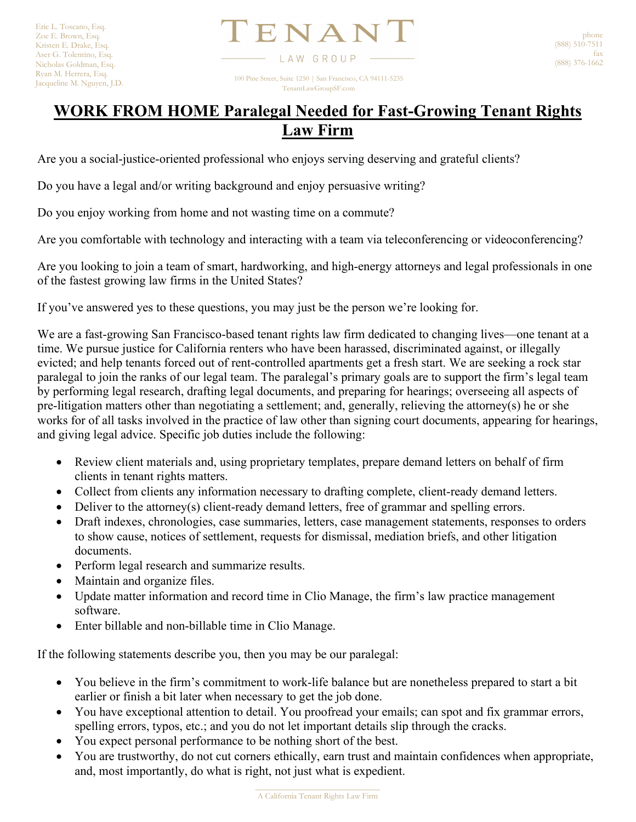TENANT LAW GROUP 100 Pine Street, Suite 1250 | San Francisco, CA 94111-5235

TenantLawGroupSF.com

## **WORK FROM HOME Paralegal Needed for Fast-Growing Tenant Rights Law Firm**

Are you a social-justice-oriented professional who enjoys serving deserving and grateful clients?

Do you have a legal and/or writing background and enjoy persuasive writing?

Do you enjoy working from home and not wasting time on a commute?

Are you comfortable with technology and interacting with a team via teleconferencing or videoconferencing?

Are you looking to join a team of smart, hardworking, and high-energy attorneys and legal professionals in one of the fastest growing law firms in the United States?

If you've answered yes to these questions, you may just be the person we're looking for.

We are a fast-growing San Francisco-based tenant rights law firm dedicated to changing lives—one tenant at a time. We pursue justice for California renters who have been harassed, discriminated against, or illegally evicted; and help tenants forced out of rent-controlled apartments get a fresh start. We are seeking a rock star paralegal to join the ranks of our legal team. The paralegal's primary goals are to support the firm's legal team by performing legal research, drafting legal documents, and preparing for hearings; overseeing all aspects of pre-litigation matters other than negotiating a settlement; and, generally, relieving the attorney(s) he or she works for of all tasks involved in the practice of law other than signing court documents, appearing for hearings, and giving legal advice. Specific job duties include the following:

- Review client materials and, using proprietary templates, prepare demand letters on behalf of firm clients in tenant rights matters.
- Collect from clients any information necessary to drafting complete, client-ready demand letters.
- Deliver to the attorney(s) client-ready demand letters, free of grammar and spelling errors.
- Draft indexes, chronologies, case summaries, letters, case management statements, responses to orders to show cause, notices of settlement, requests for dismissal, mediation briefs, and other litigation documents.
- Perform legal research and summarize results.
- Maintain and organize files.
- Update matter information and record time in Clio Manage, the firm's law practice management software.
- Enter billable and non-billable time in Clio Manage.

If the following statements describe you, then you may be our paralegal:

- You believe in the firm's commitment to work-life balance but are nonetheless prepared to start a bit earlier or finish a bit later when necessary to get the job done.
- You have exceptional attention to detail. You proofread your emails; can spot and fix grammar errors, spelling errors, typos, etc.; and you do not let important details slip through the cracks.
- You expect personal performance to be nothing short of the best.
- You are trustworthy, do not cut corners ethically, earn trust and maintain confidences when appropriate, and, most importantly, do what is right, not just what is expedient.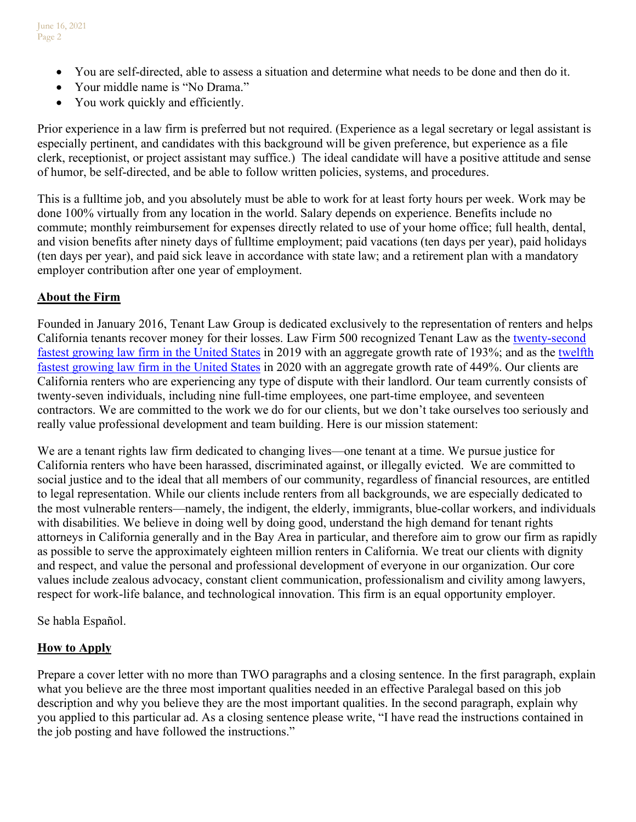- You are self-directed, able to assess a situation and determine what needs to be done and then do it.
- Your middle name is "No Drama."
- You work quickly and efficiently.

Prior experience in a law firm is preferred but not required. (Experience as a legal secretary or legal assistant is especially pertinent, and candidates with this background will be given preference, but experience as a file clerk, receptionist, or project assistant may suffice.) The ideal candidate will have a positive attitude and sense of humor, be self-directed, and be able to follow written policies, systems, and procedures.

This is a fulltime job, and you absolutely must be able to work for at least forty hours per week. Work may be done 100% virtually from any location in the world. Salary depends on experience. Benefits include no commute; monthly reimbursement for expenses directly related to use of your home office; full health, dental, and vision benefits after ninety days of fulltime employment; paid vacations (ten days per year), paid holidays (ten days per year), and paid sick leave in accordance with state law; and a retirement plan with a mandatory employer contribution after one year of employment.

## **About the Firm**

Founded in January 2016, Tenant Law Group is dedicated exclusively to the representation of renters and helps California tenants recover money for their losses. Law Firm 500 recognized Tenant Law as the [twenty-second](https://lawfirm500.com/2019-honoree-tenant-law-group/)  [fastest growing law firm in the United States](https://lawfirm500.com/2019-honoree-tenant-law-group/) in 2019 with an aggregate growth rate of 193%; and as the [twelfth](https://lawfirm500.com/2020-honoree-tenant-law-group-pc/)  [fastest growing law firm in the United States](https://lawfirm500.com/2020-honoree-tenant-law-group-pc/) in 2020 with an aggregate growth rate of 449%. Our clients are California renters who are experiencing any type of dispute with their landlord. Our team currently consists of twenty-seven individuals, including nine full-time employees, one part-time employee, and seventeen contractors. We are committed to the work we do for our clients, but we don't take ourselves too seriously and really value professional development and team building. Here is our mission statement:

We are a tenant rights law firm dedicated to changing lives—one tenant at a time. We pursue justice for California renters who have been harassed, discriminated against, or illegally evicted. We are committed to social justice and to the ideal that all members of our community, regardless of financial resources, are entitled to legal representation. While our clients include renters from all backgrounds, we are especially dedicated to the most vulnerable renters—namely, the indigent, the elderly, immigrants, blue-collar workers, and individuals with disabilities. We believe in doing well by doing good, understand the high demand for tenant rights attorneys in California generally and in the Bay Area in particular, and therefore aim to grow our firm as rapidly as possible to serve the approximately eighteen million renters in California. We treat our clients with dignity and respect, and value the personal and professional development of everyone in our organization. Our core values include zealous advocacy, constant client communication, professionalism and civility among lawyers, respect for work-life balance, and technological innovation. This firm is an equal opportunity employer.

Se habla Español.

## **How to Apply**

Prepare a cover letter with no more than TWO paragraphs and a closing sentence. In the first paragraph, explain what you believe are the three most important qualities needed in an effective Paralegal based on this job description and why you believe they are the most important qualities. In the second paragraph, explain why you applied to this particular ad. As a closing sentence please write, "I have read the instructions contained in the job posting and have followed the instructions."